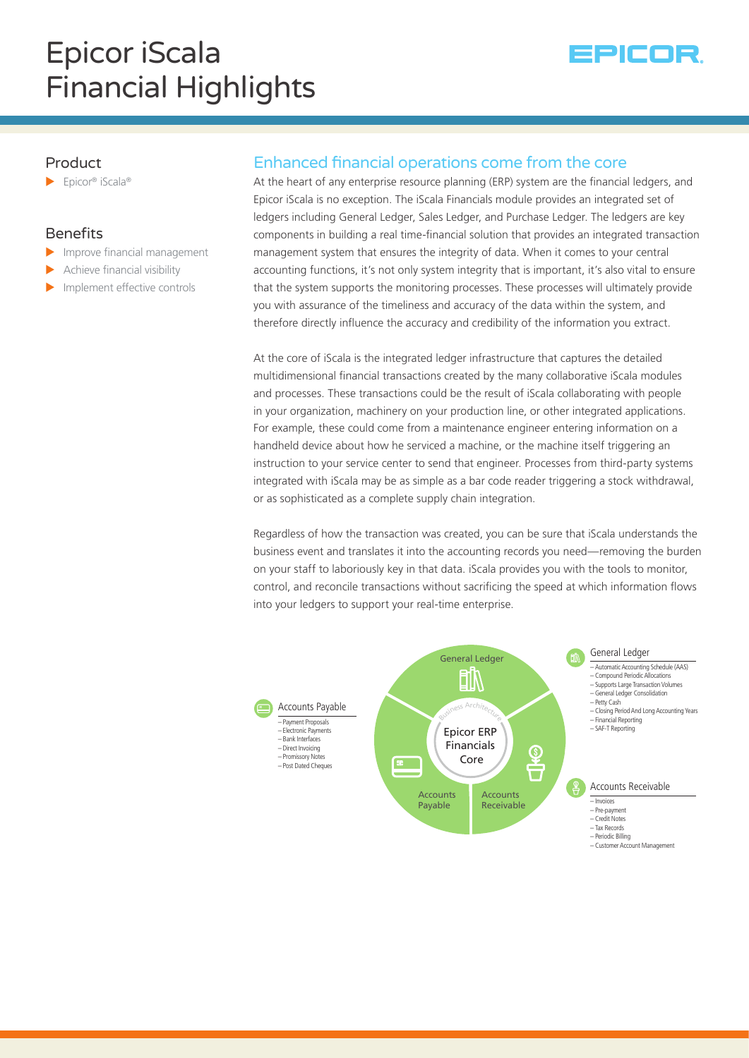

# Product

Epicor® iScala®

# **Benefits**

- $\blacktriangleright$  Improve financial management
- Achieve financial visibility
- $\blacktriangleright$  Implement effective controls

# Enhanced financial operations come from the core

At the heart of any enterprise resource planning (ERP) system are the financial ledgers, and Epicor iScala is no exception. The iScala Financials module provides an integrated set of ledgers including General Ledger, Sales Ledger, and Purchase Ledger. The ledgers are key components in building a real time-financial solution that provides an integrated transaction management system that ensures the integrity of data. When it comes to your central accounting functions, it's not only system integrity that is important, it's also vital to ensure that the system supports the monitoring processes. These processes will ultimately provide you with assurance of the timeliness and accuracy of the data within the system, and therefore directly influence the accuracy and credibility of the information you extract.

At the core of iScala is the integrated ledger infrastructure that captures the detailed multidimensional financial transactions created by the many collaborative iScala modules and processes. These transactions could be the result of iScala collaborating with people in your organization, machinery on your production line, or other integrated applications. For example, these could come from a maintenance engineer entering information on a handheld device about how he serviced a machine, or the machine itself triggering an instruction to your service center to send that engineer. Processes from third-party systems integrated with iScala may be as simple as a bar code reader triggering a stock withdrawal, or as sophisticated as a complete supply chain integration.

Regardless of how the transaction was created, you can be sure that iScala understands the business event and translates it into the accounting records you need—removing the burden on your staff to laboriously key in that data. iScala provides you with the tools to monitor, control, and reconcile transactions without sacrificing the speed at which information flows into your ledgers to support your real-time enterprise.

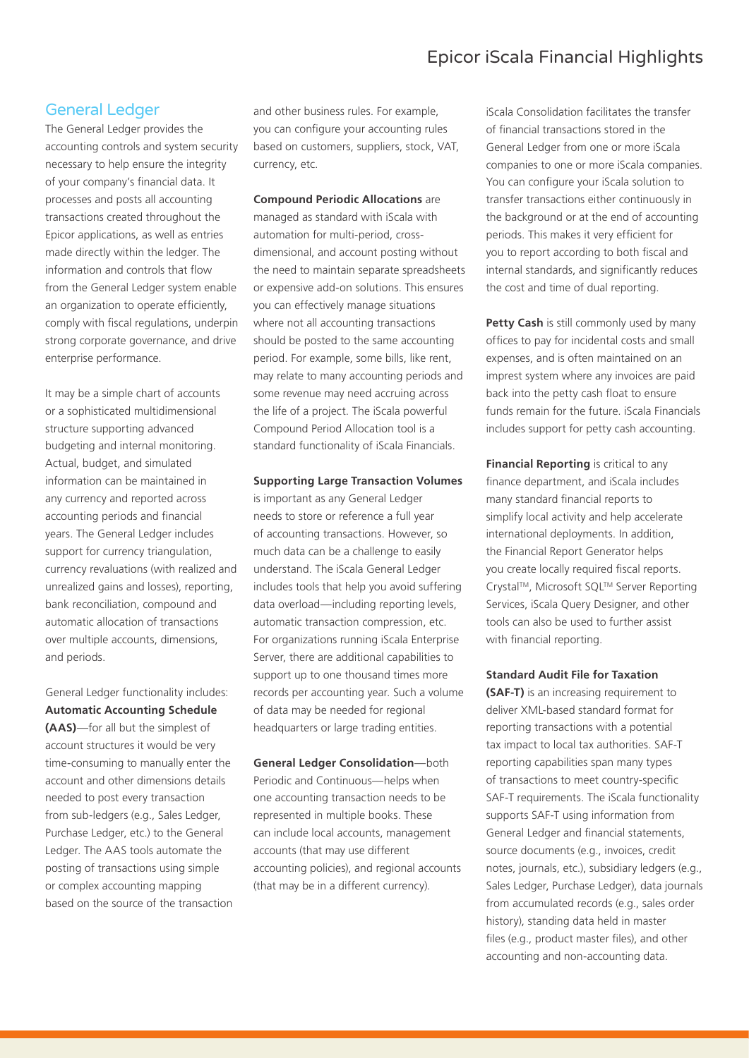### General Ledger

The General Ledger provides the accounting controls and system security necessary to help ensure the integrity of your company's financial data. It processes and posts all accounting transactions created throughout the Epicor applications, as well as entries made directly within the ledger. The information and controls that flow from the General Ledger system enable an organization to operate efficiently, comply with fiscal regulations, underpin strong corporate governance, and drive enterprise performance.

It may be a simple chart of accounts or a sophisticated multidimensional structure supporting advanced budgeting and internal monitoring. Actual, budget, and simulated information can be maintained in any currency and reported across accounting periods and financial years. The General Ledger includes support for currency triangulation, currency revaluations (with realized and unrealized gains and losses), reporting, bank reconciliation, compound and automatic allocation of transactions over multiple accounts, dimensions, and periods.

General Ledger functionality includes: **Automatic Accounting Schedule (AAS)**—for all but the simplest of account structures it would be very time-consuming to manually enter the account and other dimensions details needed to post every transaction from sub-ledgers (e.g., Sales Ledger, Purchase Ledger, etc.) to the General Ledger. The AAS tools automate the posting of transactions using simple or complex accounting mapping based on the source of the transaction

and other business rules. For example, you can configure your accounting rules based on customers, suppliers, stock, VAT, currency, etc.

**Compound Periodic Allocations** are managed as standard with iScala with automation for multi-period, crossdimensional, and account posting without the need to maintain separate spreadsheets or expensive add-on solutions. This ensures you can effectively manage situations where not all accounting transactions should be posted to the same accounting period. For example, some bills, like rent, may relate to many accounting periods and some revenue may need accruing across the life of a project. The iScala powerful Compound Period Allocation tool is a standard functionality of iScala Financials.

**Supporting Large Transaction Volumes**  is important as any General Ledger needs to store or reference a full year of accounting transactions. However, so much data can be a challenge to easily understand. The iScala General Ledger includes tools that help you avoid suffering data overload—including reporting levels, automatic transaction compression, etc. For organizations running iScala Enterprise Server, there are additional capabilities to support up to one thousand times more records per accounting year. Such a volume of data may be needed for regional headquarters or large trading entities.

**General Ledger Consolidation**—both Periodic and Continuous—helps when one accounting transaction needs to be represented in multiple books. These can include local accounts, management accounts (that may use different accounting policies), and regional accounts (that may be in a different currency).

iScala Consolidation facilitates the transfer of financial transactions stored in the General Ledger from one or more iScala companies to one or more iScala companies. You can configure your iScala solution to transfer transactions either continuously in the background or at the end of accounting periods. This makes it very efficient for you to report according to both fiscal and internal standards, and significantly reduces the cost and time of dual reporting.

**Petty Cash** is still commonly used by many offices to pay for incidental costs and small expenses, and is often maintained on an imprest system where any invoices are paid back into the petty cash float to ensure funds remain for the future. iScala Financials includes support for petty cash accounting.

**Financial Reporting** is critical to any finance department, and iScala includes many standard financial reports to simplify local activity and help accelerate international deployments. In addition, the Financial Report Generator helps you create locally required fiscal reports. Crystal™, Microsoft SQL™ Server Reporting Services, iScala Query Designer, and other tools can also be used to further assist with financial reporting.

#### **Standard Audit File for Taxation**

**(SAF-T)** is an increasing requirement to deliver XML-based standard format for reporting transactions with a potential tax impact to local tax authorities. SAF-T reporting capabilities span many types of transactions to meet country-specific SAF-T requirements. The iScala functionality supports SAF-T using information from General Ledger and financial statements, source documents (e.g., invoices, credit notes, journals, etc.), subsidiary ledgers (e.g., Sales Ledger, Purchase Ledger), data journals from accumulated records (e.g., sales order history), standing data held in master files (e.g., product master files), and other accounting and non-accounting data.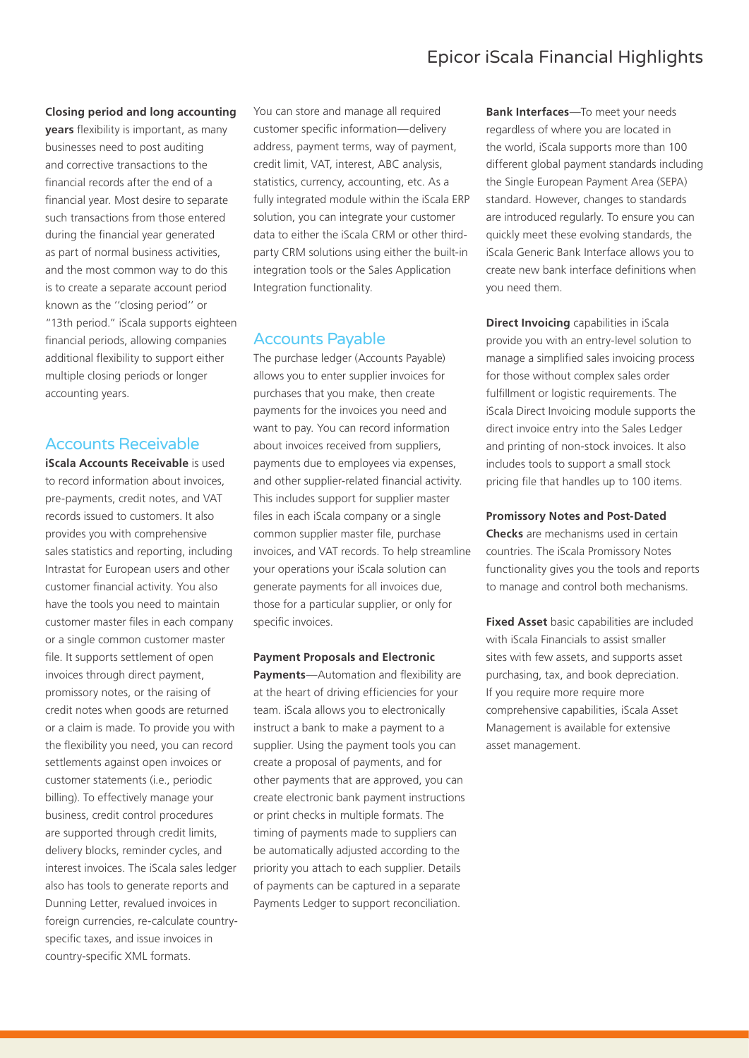#### **Closing period and long accounting**

**years** flexibility is important, as many businesses need to post auditing and corrective transactions to the financial records after the end of a financial year. Most desire to separate such transactions from those entered during the financial year generated as part of normal business activities, and the most common way to do this is to create a separate account period known as the ''closing period'' or "13th period." iScala supports eighteen financial periods, allowing companies additional flexibility to support either multiple closing periods or longer accounting years.

### Accounts Receivable

**iScala Accounts Receivable** is used to record information about invoices, pre-payments, credit notes, and VAT records issued to customers. It also provides you with comprehensive sales statistics and reporting, including Intrastat for European users and other customer financial activity. You also have the tools you need to maintain customer master files in each company or a single common customer master file. It supports settlement of open invoices through direct payment, promissory notes, or the raising of credit notes when goods are returned or a claim is made. To provide you with the flexibility you need, you can record settlements against open invoices or customer statements (i.e., periodic billing). To effectively manage your business, credit control procedures are supported through credit limits, delivery blocks, reminder cycles, and interest invoices. The iScala sales ledger also has tools to generate reports and Dunning Letter, revalued invoices in foreign currencies, re-calculate countryspecific taxes, and issue invoices in country-specific XML formats.

You can store and manage all required customer specific information—delivery address, payment terms, way of payment, credit limit, VAT, interest, ABC analysis, statistics, currency, accounting, etc. As a fully integrated module within the iScala ERP solution, you can integrate your customer data to either the iScala CRM or other thirdparty CRM solutions using either the built-in integration tools or the Sales Application Integration functionality.

## Accounts Payable

The purchase ledger (Accounts Payable) allows you to enter supplier invoices for purchases that you make, then create payments for the invoices you need and want to pay. You can record information about invoices received from suppliers, payments due to employees via expenses, and other supplier-related financial activity. This includes support for supplier master files in each iScala company or a single common supplier master file, purchase invoices, and VAT records. To help streamline your operations your iScala solution can generate payments for all invoices due, those for a particular supplier, or only for specific invoices.

**Payment Proposals and Electronic Payments**—Automation and flexibility are at the heart of driving efficiencies for your team. iScala allows you to electronically instruct a bank to make a payment to a supplier. Using the payment tools you can create a proposal of payments, and for other payments that are approved, you can create electronic bank payment instructions or print checks in multiple formats. The timing of payments made to suppliers can be automatically adjusted according to the priority you attach to each supplier. Details of payments can be captured in a separate Payments Ledger to support reconciliation.

**Bank Interfaces**—To meet your needs regardless of where you are located in the world, iScala supports more than 100 different global payment standards including the Single European Payment Area (SEPA) standard. However, changes to standards are introduced regularly. To ensure you can quickly meet these evolving standards, the iScala Generic Bank Interface allows you to create new bank interface definitions when you need them.

**Direct Invoicing** capabilities in iScala provide you with an entry-level solution to manage a simplified sales invoicing process for those without complex sales order fulfillment or logistic requirements. The iScala Direct Invoicing module supports the direct invoice entry into the Sales Ledger and printing of non-stock invoices. It also includes tools to support a small stock pricing file that handles up to 100 items.

#### **Promissory Notes and Post-Dated**

**Checks** are mechanisms used in certain countries. The iScala Promissory Notes functionality gives you the tools and reports to manage and control both mechanisms.

**Fixed Asset** basic capabilities are included with iScala Financials to assist smaller sites with few assets, and supports asset purchasing, tax, and book depreciation. If you require more require more comprehensive capabilities, iScala Asset Management is available for extensive asset management.